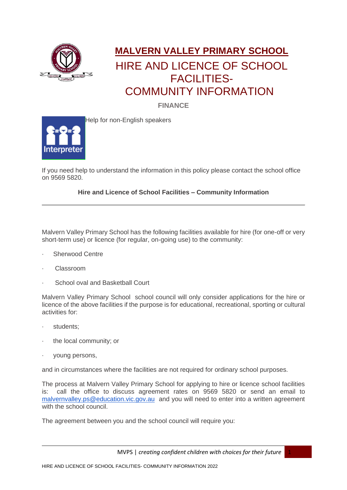

## **MALVERN VALLEY PRIMARY SCHOOL** HIRE AND LICENCE OF SCHOOL FACILITIES- COMMUNITY INFORMATION

**FINANCE**



Help for non-English speakers

If you need help to understand the information in this policy please contact the school office on 9569 5820.

## **Hire and Licence of School Facilities – Community Information**

Malvern Valley Primary School has the following facilities available for hire (for one-off or very short-term use) or licence (for regular, on-going use) to the community:

- · Sherwood Centre
- · Classroom
- · School oval and Basketball Court

Malvern Valley Primary School school council will only consider applications for the hire or licence of the above facilities if the purpose is for educational, recreational, sporting or cultural activities for:

- · students;
- · the local community; or
- · young persons,

and in circumstances where the facilities are not required for ordinary school purposes.

The process at Malvern Valley Primary School for applying to hire or licence school facilities is: call the office to discuss agreement rates on 9569 5820 or send an email to [malvernvalley.ps@education.vic.gov.au](mailto:malvernvalley.ps@education.vic.gov.au) and you will need to enter into a written agreement with the school council.

The agreement between you and the school council will require you:

MVPS | *creating confident children with choices for their future* 1